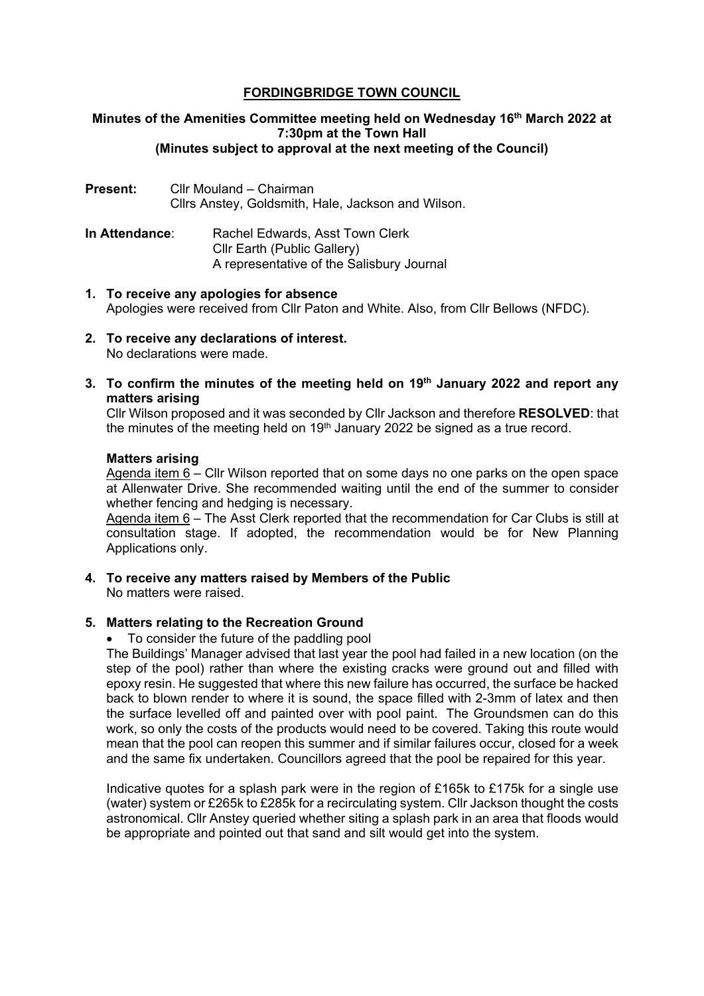# **FORDINGBRIDGE TOWN COUNCIL**

### **Minutes of the Amenities Committee meeting held on Wednesday 16th March 2022 at 7:30pm at the Town Hall (Minutes subject to approval at the next meeting of the Council)**

- **Present:** Cllr Mouland Chairman Cllrs Anstey, Goldsmith, Hale, Jackson and Wilson.
- **In Attendance:** Rachel Edwards, Asst Town Clerk Cllr Earth (Public Gallery) A representative of the Salisbury Journal
- **1. To receive any apologies for absence** Apologies were received from Cllr Paton and White. Also, from Cllr Bellows (NFDC).
- **2. To receive any declarations of interest.** No declarations were made.
- **3. To confirm the minutes of the meeting held on 19th January 2022 and report any matters arising**

Cllr Wilson proposed and it was seconded by Cllr Jackson and therefore **RESOLVED**: that the minutes of the meeting held on  $19<sup>th</sup>$  January 2022 be signed as a true record.

### **Matters arising**

Agenda item 6 – Cllr Wilson reported that on some days no one parks on the open space at Allenwater Drive. She recommended waiting until the end of the summer to consider whether fencing and hedging is necessary.

Agenda item 6 – The Asst Clerk reported that the recommendation for Car Clubs is still at consultation stage. If adopted, the recommendation would be for New Planning Applications only.

**4. To receive any matters raised by Members of the Public** No matters were raised.

# **5. Matters relating to the Recreation Ground**

• To consider the future of the paddling pool

The Buildings' Manager advised that last year the pool had failed in a new location (on the step of the pool) rather than where the existing cracks were ground out and filled with epoxy resin. He suggested that where this new failure has occurred, the surface be hacked back to blown render to where it is sound, the space filled with 2-3mm of latex and then the surface levelled off and painted over with pool paint. The Groundsmen can do this work, so only the costs of the products would need to be covered. Taking this route would mean that the pool can reopen this summer and if similar failures occur, closed for a week and the same fix undertaken. Councillors agreed that the pool be repaired for this year.

Indicative quotes for a splash park were in the region of £165k to £175k for a single use (water) system or £265k to £285k for a recirculating system. Cllr Jackson thought the costs astronomical. Cllr Anstey queried whether siting a splash park in an area that floods would be appropriate and pointed out that sand and silt would get into the system.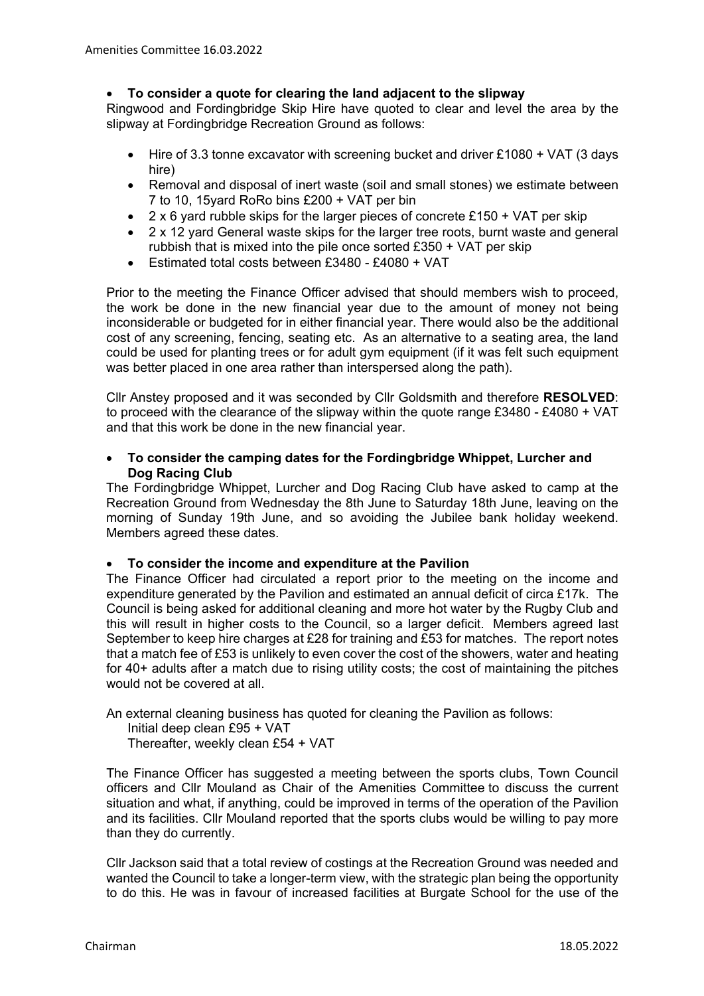# • **To consider a quote for clearing the land adjacent to the slipway**

Ringwood and Fordingbridge Skip Hire have quoted to clear and level the area by the slipway at Fordingbridge Recreation Ground as follows:

- Hire of 3.3 tonne excavator with screening bucket and driver £1080 + VAT (3 days hire)
- Removal and disposal of inert waste (soil and small stones) we estimate between 7 to 10, 15yard RoRo bins £200 + VAT per bin
- $2 \times 6$  yard rubble skips for the larger pieces of concrete £150 + VAT per skip
- 2 x 12 yard General waste skips for the larger tree roots, burnt waste and general rubbish that is mixed into the pile once sorted £350 + VAT per skip
- Estimated total costs between £3480 £4080 + VAT

Prior to the meeting the Finance Officer advised that should members wish to proceed, the work be done in the new financial year due to the amount of money not being inconsiderable or budgeted for in either financial year. There would also be the additional cost of any screening, fencing, seating etc. As an alternative to a seating area, the land could be used for planting trees or for adult gym equipment (if it was felt such equipment was better placed in one area rather than interspersed along the path).

Cllr Anstey proposed and it was seconded by Cllr Goldsmith and therefore **RESOLVED**: to proceed with the clearance of the slipway within the quote range £3480 - £4080 + VAT and that this work be done in the new financial year.

### • **To consider the camping dates for the Fordingbridge Whippet, Lurcher and Dog Racing Club**

The Fordingbridge Whippet, Lurcher and Dog Racing Club have asked to camp at the Recreation Ground from Wednesday the 8th June to Saturday 18th June, leaving on the morning of Sunday 19th June, and so avoiding the Jubilee bank holiday weekend. Members agreed these dates.

# • **To consider the income and expenditure at the Pavilion**

The Finance Officer had circulated a report prior to the meeting on the income and expenditure generated by the Pavilion and estimated an annual deficit of circa £17k. The Council is being asked for additional cleaning and more hot water by the Rugby Club and this will result in higher costs to the Council, so a larger deficit. Members agreed last September to keep hire charges at £28 for training and £53 for matches. The report notes that a match fee of £53 is unlikely to even cover the cost of the showers, water and heating for 40+ adults after a match due to rising utility costs; the cost of maintaining the pitches would not be covered at all.

An external cleaning business has quoted for cleaning the Pavilion as follows:

Initial deep clean £95 + VAT

Thereafter, weekly clean £54 + VAT

The Finance Officer has suggested a meeting between the sports clubs, Town Council officers and Cllr Mouland as Chair of the Amenities Committee to discuss the current situation and what, if anything, could be improved in terms of the operation of the Pavilion and its facilities. Cllr Mouland reported that the sports clubs would be willing to pay more than they do currently.

Cllr Jackson said that a total review of costings at the Recreation Ground was needed and wanted the Council to take a longer-term view, with the strategic plan being the opportunity to do this. He was in favour of increased facilities at Burgate School for the use of the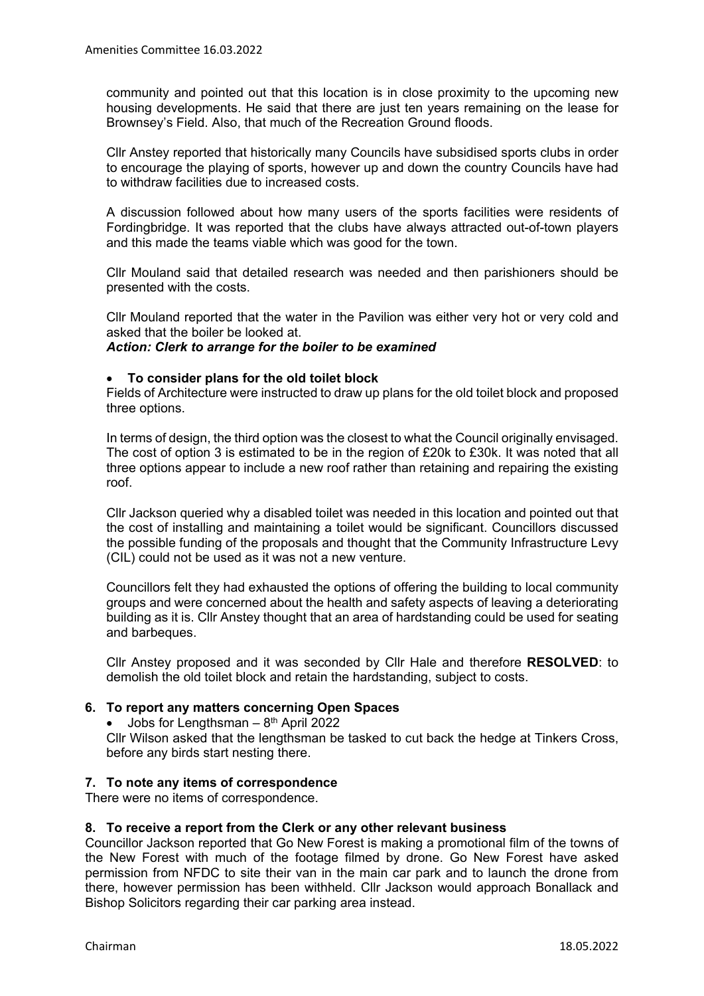community and pointed out that this location is in close proximity to the upcoming new housing developments. He said that there are just ten years remaining on the lease for Brownsey's Field. Also, that much of the Recreation Ground floods.

Cllr Anstey reported that historically many Councils have subsidised sports clubs in order to encourage the playing of sports, however up and down the country Councils have had to withdraw facilities due to increased costs.

A discussion followed about how many users of the sports facilities were residents of Fordingbridge. It was reported that the clubs have always attracted out-of-town players and this made the teams viable which was good for the town.

Cllr Mouland said that detailed research was needed and then parishioners should be presented with the costs.

Cllr Mouland reported that the water in the Pavilion was either very hot or very cold and asked that the boiler be looked at.

### *Action: Clerk to arrange for the boiler to be examined*

### • **To consider plans for the old toilet block**

Fields of Architecture were instructed to draw up plans for the old toilet block and proposed three options.

In terms of design, the third option was the closest to what the Council originally envisaged. The cost of option 3 is estimated to be in the region of £20k to £30k. It was noted that all three options appear to include a new roof rather than retaining and repairing the existing roof.

Cllr Jackson queried why a disabled toilet was needed in this location and pointed out that the cost of installing and maintaining a toilet would be significant. Councillors discussed the possible funding of the proposals and thought that the Community Infrastructure Levy (CIL) could not be used as it was not a new venture.

Councillors felt they had exhausted the options of offering the building to local community groups and were concerned about the health and safety aspects of leaving a deteriorating building as it is. Cllr Anstey thought that an area of hardstanding could be used for seating and barbeques.

Cllr Anstey proposed and it was seconded by Cllr Hale and therefore **RESOLVED**: to demolish the old toilet block and retain the hardstanding, subject to costs.

# **6. To report any matters concerning Open Spaces**

• Jobs for Lengthsman –  $8<sup>th</sup>$  April 2022 Cllr Wilson asked that the lengthsman be tasked to cut back the hedge at Tinkers Cross, before any birds start nesting there.

#### **7. To note any items of correspondence**

There were no items of correspondence.

#### **8. To receive a report from the Clerk or any other relevant business**

Councillor Jackson reported that Go New Forest is making a promotional film of the towns of the New Forest with much of the footage filmed by drone. Go New Forest have asked permission from NFDC to site their van in the main car park and to launch the drone from there, however permission has been withheld. Cllr Jackson would approach Bonallack and Bishop Solicitors regarding their car parking area instead.